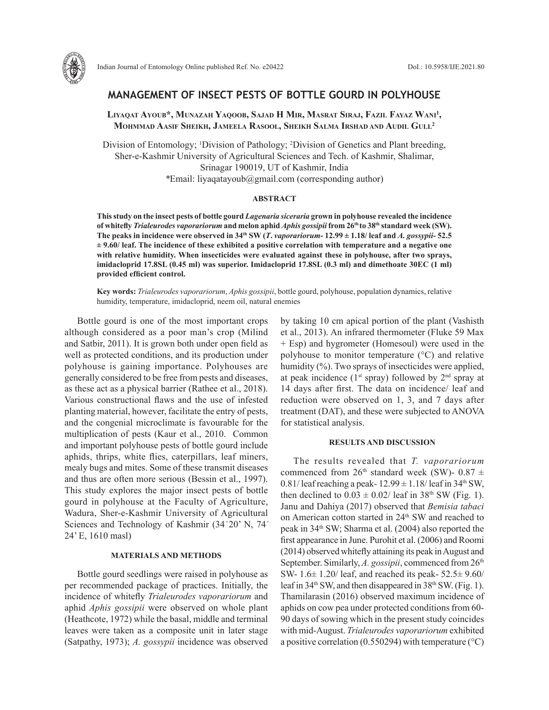

# **MANAGEMENT OF INSECT PESTS OF BOTTLE GOURD IN POLYHOUSE**

**Liyaqat Ayoub\*, Munazah Yaqoob, Sajad H Mir, Masrat Siraj, Fazil Fayaz Wani1 , Mohmmad Aasif Sheikh, Jameela Rasool, Sheikh Salma Irshad and Audil Gull2**

Division of Entomology; <sup>1</sup>Division of Pathology; <sup>2</sup>Division of Genetics and Plant breeding, Sher-e-Kashmir University of Agricultural Sciences and Tech. of Kashmir, Shalimar, Srinagar 190019, UT of Kashmir, India *\**Email: liyaqatayoub@gmail.com (corresponding author)

### **ABSTRACT**

**This study on the insect pests of bottle gourd** *Lagenaria siceraria* **grown in polyhouse revealed the incidence of whitefly** *Trialeurodes vaporariorum* **and melon aphid** *Aphis gossipii* **from 26th to 38th standard week (SW).**  The peaks in incidence were observed in  $34<sup>th</sup> SW (T. vaporariorum - 12.99  $\pm$  1.18/ leaf and A. gosypii-52.5$ **± 9.60/ leaf. The incidence of these exhibited a positive correlation with temperature and a negative one with relative humidity. When insecticides were evaluated against these in polyhouse, after two sprays, imidacloprid 17.8SL (0.45 ml) was superior. Imidacloprid 17.8SL (0.3 ml) and dimethoate 30EC (1 ml) provided efficient control.**

**Key words:** *Trialeurodes vaporariorum*, *Aphis gossipii*, bottle gourd, polyhouse, population dynamics, relative humidity, temperature, imidacloprid, neem oil, natural enemies

Bottle gourd is one of the most important crops although considered as a poor man's crop (Milind and Satbir, 2011). It is grown both under open field as well as protected conditions, and its production under polyhouse is gaining importance. Polyhouses are generally considered to be free from pests and diseases, as these act as a physical barrier (Rathee et al., 2018). Various constructional flaws and the use of infested planting material, however, facilitate the entry of pests, and the congenial microclimate is favourable for the multiplication of pests (Kaur et al., 2010. Common and important polyhouse pests of bottle gourd include aphids, thrips, white flies, caterpillars, leaf miners, mealy bugs and mites. Some of these transmit diseases and thus are often more serious (Bessin et al., 1997). This study explores the major insect pests of bottle gourd in polyhouse at the Faculty of Agriculture, Wadura, Sher-e-Kashmir University of Agricultural Sciences and Technology of Kashmir (34°20' N, 74° 24' E, 1610 masl)

## **MATERIALS AND METHODS**

Bottle gourd seedlings were raised in polyhouse as per recommended package of practices. Initially, the incidence of whitefly *Trialeurodes vaporariorum* and aphid *Aphis gossipii* were observed on whole plant (Heathcote, 1972) while the basal, middle and terminal leaves were taken as a composite unit in later stage (Satpathy, 1973); *A. gossypii* incidence was observed by taking 10 cm apical portion of the plant (Vashisth et al., 2013). An infrared thermometer (Fluke 59 Max + Esp) and hygrometer (Homesoul) were used in the polyhouse to monitor temperature (°C) and relative humidity  $\left(\frac{9}{6}\right)$ . Two sprays of insecticides were applied, at peak incidence ( $1<sup>st</sup>$  spray) followed by  $2<sup>nd</sup>$  spray at 14 days after first. The data on incidence/ leaf and reduction were observed on 1, 3, and 7 days after treatment (DAT), and these were subjected to ANOVA for statistical analysis.

## **RESULTS AND DISCUSSION**

The results revealed that *T. vaporariorum*  commenced from 26<sup>th</sup> standard week (SW)- 0.87  $\pm$ 0.81/ leaf reaching a peak-  $12.99 \pm 1.18$ / leaf in 34<sup>th</sup> SW, then declined to  $0.03 \pm 0.02/$  leaf in 38<sup>th</sup> SW (Fig. 1). Janu and Dahiya (2017) observed that *Bemisia tabaci* on American cotton started in 24<sup>th</sup> SW and reached to peak in 34th SW; Sharma et al. (2004) also reported the first appearance in June. Purohit et al. (2006) and Roomi (2014) observed whitefly attaining its peak in August and September. Similarly, A. gossipii, commenced from 26<sup>th</sup> SW- 1.6± 1.20/ leaf, and reached its peak- 52.5± 9.60/ leaf in 34<sup>th</sup> SW, and then disappeared in 38<sup>th</sup> SW. (Fig. 1). Thamilarasin (2016) observed maximum incidence of aphids on cow pea under protected conditions from 60- 90 days of sowing which in the present study coincides with mid-August. *Trialeurodes vaporariorum* exhibited a positive correlation (0.550294) with temperature  $({\rm ^{\circ}C})$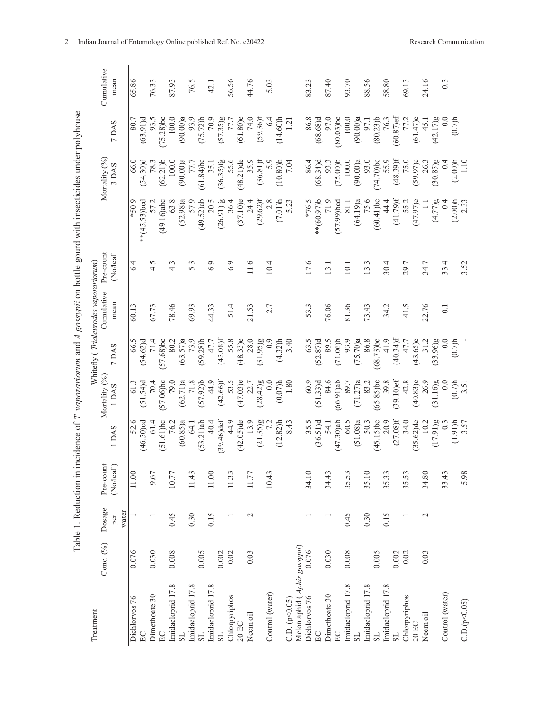| l<br>i                                                                                                                                                 |
|--------------------------------------------------------------------------------------------------------------------------------------------------------|
|                                                                                                                                                        |
| l<br>$\ddot{\phantom{0}}$                                                                                                                              |
|                                                                                                                                                        |
| )                                                                                                                                                      |
| ۱                                                                                                                                                      |
|                                                                                                                                                        |
| $\frac{4}{3}$<br>こもてくし てなし きここ                                                                                                                         |
| l<br>ł                                                                                                                                                 |
|                                                                                                                                                        |
|                                                                                                                                                        |
| ŀ<br>l                                                                                                                                                 |
| Ì                                                                                                                                                      |
|                                                                                                                                                        |
| aduotion in inoida<br>ミュ                                                                                                                               |
| )<br>$\dot{\mathsf{d}}$<br>l                                                                                                                           |
| ł<br>d<br>֧֧֧֧֧֧֧֧֦֧֧֧֧֧֛֛֛֧֛֛֚֚֚֚֚֚֚֚֚֚֚֚֚֚֚֚֚֝֝֓֝֝֬֝֝֬֜֜֜֜֜֜֝֜֝֬֜<br>֧֛֛֧֧֧֛֚֚֚֚֚֚֚֚֚֚֚֚֝֜֜֝֝֝֝<br>$\overline{\epsilon}$<br>$\overline{a}$<br>š<br>Į |
|                                                                                                                                                        |
|                                                                                                                                                        |

| Treatment                    |           |               |           |                   |                  |              | Whitefly (Trialeurodes vaporariorum) |                  |                    |               |              |            |
|------------------------------|-----------|---------------|-----------|-------------------|------------------|--------------|--------------------------------------|------------------|--------------------|---------------|--------------|------------|
|                              | Conc. (%) | Dosage        | Pre-count |                   | Mortality (%)    |              | Cumulative                           | Pre-count        |                    | Mortality (%) |              | Cumulative |
|                              |           | water<br>per  | (No/leaf) | 1DAS              | 1 DAS            | 7 DAS        | mean                                 | (No/leaf         |                    | 3 DAS         | 7 DAS        | mean       |
| Dichlorvos 76                | 0.076     |               | 11.00     | 52.6              | 61.3             | 66.5         | 60.13                                | 6.4              | $6.05*$            | 66.0          | 80.7         | 65.86      |
| EC                           |           |               |           | $(46.50)$ cd      | $(51.54)$ d      | $(54.62)$ d  |                                      |                  | $*(45.53)$ bcd     | (54.30)d      | $(63.91)$ d  |            |
| Dimethoate 30                | 0.030     |               | 9.67      | 61.4              | 70.4             | 71.4         | 67.73                                | 4.5              | 57.2               | 78.3          | 93.5         | 76.33      |
| EC                           |           |               |           | $(51.61)$ bc      | $(57.06)$ bc     | $(57.68)$ bc |                                      |                  | (49.16)abc         | (62.21)       | $(75.28)$ bc |            |
| Imidacloprid 17.8            | 0.008     | 0.45          | 10.77     | 76.2              | 79.0             | 80.2         | 78.46                                | $4.\overline{3}$ | 63.8               | 100.0         | 100.0        | 87.93      |
| $_{\rm SI}$                  |           |               |           | (60.85)a          | (62.71)a         | (63.57)a     |                                      |                  | (52.98)a           | (90.00)a      | (90.00)a     |            |
| Imidacloprid 17.8            |           | 0.30          | 11.43     | <b>64.1</b>       | 71.8             | 73.9         | 69.93                                | 5.3              | 57.9               | 77.7          | 93.9         | 76.5       |
| $_{\rm SS}$                  | 0.005     |               |           | (53.21)ab         | $(57.92)$ b      | $(59.28)$ b  |                                      |                  | (49.52)ab          | $(61.84)$ bc  | $(75.72)$ b  |            |
| Imidacloprid 17.8            |           | 0.15          | $11.00$   | 40.4              | 44.9             | 47.7         | 44.33                                | 6.9              | 20.5               | 35.1          | 70.9         | 42.1       |
| $_{\rm SI}$                  | 0.002     |               |           | $(39.46)$ def     | $(42.66)$ f      | $(43.08)$ f  |                                      |                  | $(26.91)$ fg       | $(36.35)$ fg  | (57.35)g     |            |
| Chlorpyriphos                | 0.02      |               | 11.33     | 44.9              | 53.5             | 55.8         | 51.4                                 | 6.9              | 36.4               | 55.6          | 77.7         | 56.56      |
| $20$ EC                      |           |               |           | $(42.05)$ de      | $(47.03)$ e      | $(48.33)$ e  |                                      |                  | (37.10)e           | $(48.21)$ de  | $(61.80)$ e  |            |
| Neem oil                     | 0.03      | $\mathbf 2$   | 11.77     | 13.9              | 22.7             | 28.0         | 21.53                                | 11.6             | 24.4               | 35.9          | 74.0         | 44.76      |
|                              |           |               |           | (21.35)g          | (28.42)g         | (31.95)g     |                                      |                  | $(29.62)$ f        | (36.81)f      | $(59.36)$ f  |            |
| Control (water)              |           |               | 10.43     |                   | 0.0              | 0.9          | 2.7                                  | 10.4             | 2.8                | 5.9           | 6.4          | 5.03       |
|                              |           |               |           | (12.82)h          | (0.07)h          | (4.32)h      |                                      |                  | (7.01)h            | $(10.80)$ h   | $(14.60)$ h  |            |
| $C.D. (p \le 0.05)$          |           |               |           | 8.43              | 1.80             | 3.40         |                                      |                  | 5.23               | 7.04          | 121          |            |
| Melon aphid (Aphis gossypii) |           |               |           |                   |                  |              |                                      |                  |                    |               |              |            |
| Dichlorvos 76                | 0.076     |               | 34.10     | 35.5              | 60.9             | 63.5         | 53.3                                 | 17.6             | *76.5              | 86.4          | 86.8         | 83.23      |
| EC                           |           |               |           | (36.51)d          | $(51.33)$ d      | $(52.87)$ d  |                                      |                  | $*(60.97)$ b       | $(68.34)$ d   | $(68.68)$ d  |            |
| Dimethoate 30                | 0.030     |               | 34.43     | 54.1              | 84.6             | 89.5         | 76.06                                | 13.1             | 71.9               | 93.3          | 97.0         | 87.40      |
| EC                           |           |               |           | (47.30)ab         | $(66.91)$ ab     | (71.06)      |                                      |                  | $(57.99)$ bcd      | (75.00)       | $(80.03)$ bc |            |
| Imidacloprid 17.8            | 0.008     | 0.45          | 35.53     | 60.5              | 89.7             | 93.9         | 81.36                                | 10.1             | $\overline{8}$     | 100.0         | 100.0        | 93.70      |
| SL.                          |           |               |           | (51.08)a          | (71.27)a         | (75.70)a     |                                      |                  | (64.19)a           | (90.00)a      | (90.00)a     |            |
| Imidacloprid 17.8            |           | 0.30          | 35.10     | 50.3              | 83.2             | 86.8         | 73.43                                | 13.3             | 75.6               | 93.0          | 97.1         | 88.56      |
| $_{\rm SI}$                  | 0.005     |               |           | (45.15)bc         | $(65.85)$ bc     | $(68.73)$ bc |                                      |                  | $(60.41)$ bc       | $(74.70)$ bc  | $(80.23)$ b  |            |
| Imidacloprid 17.8            |           | 0.15          | 35.33     | 20.9              | 39.8             | 41.9         | 34.2                                 | 30.4             | 44.4               | 55.9          | 76.3         | 58.80      |
| $_{\rm SI}$                  | 0.002     |               |           | $(27.08)$ f       | $(39.10)$ ef     | $(40.34)$ f  |                                      |                  | $(41.79)$ f        | $(48.39)$ f   | $(60.87)$ ef |            |
| Chlorpyriphos                | 0.02      |               | 35.53     | 34.0              | 42.8             | 47.7         | 41.5                                 | 29.7             | 55.2               | 75.0          | 77.2         | 69.13      |
| $20$ EC                      |           |               |           | $(35.62)$ de      | $(40.83)$ e      | $(43.65)$ e  |                                      |                  | $(47.97)$ e        | $(59.97)$ e   | $(61.47)$ e  |            |
| Neem oil                     | 0.03      | $\mathcal{L}$ | 34.80     | 10.2              | 26.9             | 31.2         | 22.76                                | 34.7             |                    | 26.3          | 45.1         | 24.16      |
|                              |           |               |           | $(17.91)$ g       | (31.16)g         | $(33.96)$ g  |                                      |                  | $(4.77)$ g         | $(30.85)$ g   | (42.17)g     |            |
| Control (water)              |           |               | 33.43     |                   | 0.0              | 0.0          | $\overline{0}$ :                     | 33.4             | $rac{4}{\sqrt{2}}$ | 0.4           | 0.0          | 0.3        |
|                              |           |               |           | $(1.91)h$<br>3.57 | $(0.7)h$<br>3.51 | (0.7)h       |                                      |                  | (2.00)h            | (2.00)h       | (0.7)h       |            |
| $C.D. (p \le 0.05)$          |           |               | 5.98      |                   |                  |              |                                      | 3.52             | 2.33               | 1.10          |              |            |